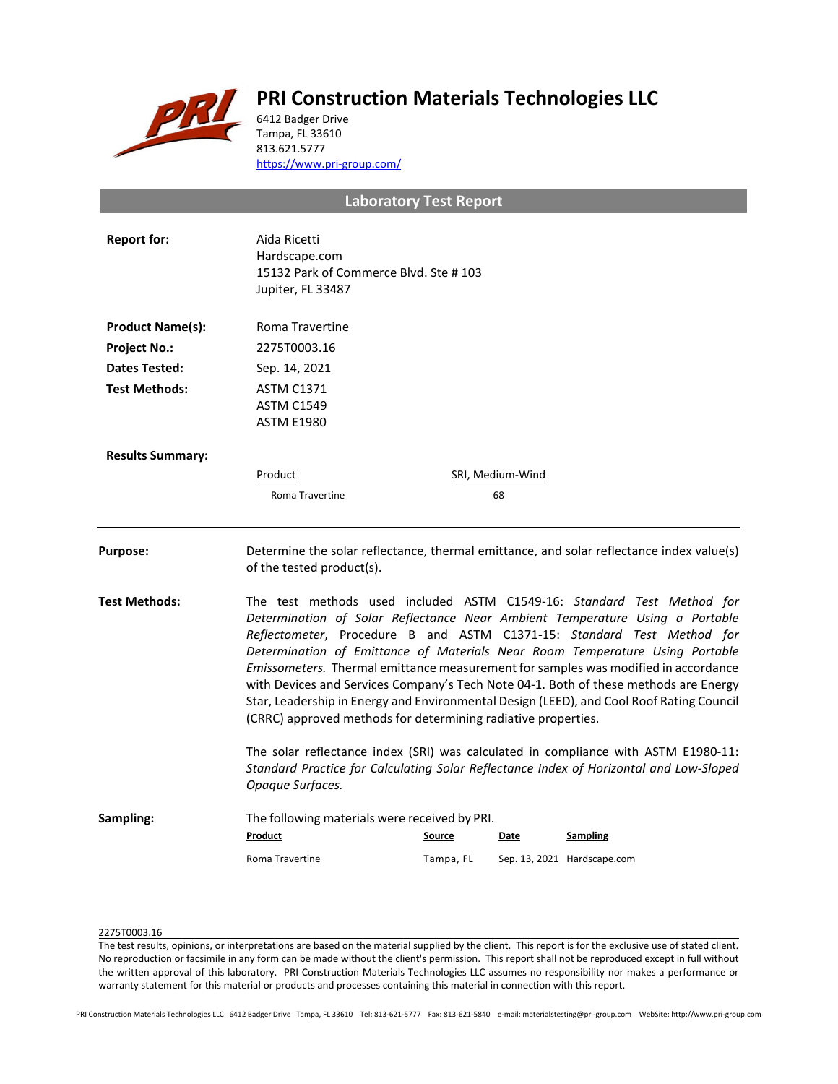

# **PRI Construction Materials Technologies LLC**

6412 Badger Drive Tampa, FL 33610 813.621.5777 <https://www.pri-group.com/>

# **Laboratory Test Report**

| <b>Report for:</b>      | Aida Ricetti<br>Hardscape.com<br>15132 Park of Commerce Blvd. Ste #103<br>Jupiter, FL 33487                                                                                                                                                                                                                                                                                                                                                                                                                                                                                                                                                                 |               |                        |                                                                                          |  |
|-------------------------|-------------------------------------------------------------------------------------------------------------------------------------------------------------------------------------------------------------------------------------------------------------------------------------------------------------------------------------------------------------------------------------------------------------------------------------------------------------------------------------------------------------------------------------------------------------------------------------------------------------------------------------------------------------|---------------|------------------------|------------------------------------------------------------------------------------------|--|
| <b>Product Name(s):</b> | Roma Travertine                                                                                                                                                                                                                                                                                                                                                                                                                                                                                                                                                                                                                                             |               |                        |                                                                                          |  |
| <b>Project No.:</b>     | 2275T0003.16                                                                                                                                                                                                                                                                                                                                                                                                                                                                                                                                                                                                                                                |               |                        |                                                                                          |  |
| <b>Dates Tested:</b>    | Sep. 14, 2021                                                                                                                                                                                                                                                                                                                                                                                                                                                                                                                                                                                                                                               |               |                        |                                                                                          |  |
| <b>Test Methods:</b>    | <b>ASTM C1371</b><br><b>ASTM C1549</b><br><b>ASTM E1980</b>                                                                                                                                                                                                                                                                                                                                                                                                                                                                                                                                                                                                 |               |                        |                                                                                          |  |
| <b>Results Summary:</b> |                                                                                                                                                                                                                                                                                                                                                                                                                                                                                                                                                                                                                                                             |               |                        |                                                                                          |  |
|                         | Product<br>Roma Travertine                                                                                                                                                                                                                                                                                                                                                                                                                                                                                                                                                                                                                                  |               | SRI, Medium-Wind<br>68 |                                                                                          |  |
| Purpose:                | of the tested product(s).                                                                                                                                                                                                                                                                                                                                                                                                                                                                                                                                                                                                                                   |               |                        | Determine the solar reflectance, thermal emittance, and solar reflectance index value(s) |  |
| Test Methods:           | The test methods used included ASTM C1549-16: Standard Test Method for<br>Determination of Solar Reflectance Near Ambient Temperature Using a Portable<br>Reflectometer, Procedure B and ASTM C1371-15: Standard Test Method for<br>Determination of Emittance of Materials Near Room Temperature Using Portable<br>Emissometers. Thermal emittance measurement for samples was modified in accordance<br>with Devices and Services Company's Tech Note 04-1. Both of these methods are Energy<br>Star, Leadership in Energy and Environmental Design (LEED), and Cool Roof Rating Council<br>(CRRC) approved methods for determining radiative properties. |               |                        |                                                                                          |  |
|                         | The solar reflectance index (SRI) was calculated in compliance with ASTM E1980-11:<br>Standard Practice for Calculating Solar Reflectance Index of Horizontal and Low-Sloped<br>Opaque Surfaces.                                                                                                                                                                                                                                                                                                                                                                                                                                                            |               |                        |                                                                                          |  |
| Sampling:               | The following materials were received by PRI.                                                                                                                                                                                                                                                                                                                                                                                                                                                                                                                                                                                                               |               |                        |                                                                                          |  |
|                         | Product                                                                                                                                                                                                                                                                                                                                                                                                                                                                                                                                                                                                                                                     | <b>Source</b> | Date                   | <b>Sampling</b>                                                                          |  |
|                         | Roma Travertine                                                                                                                                                                                                                                                                                                                                                                                                                                                                                                                                                                                                                                             | Tampa, FL     |                        | Sep. 13, 2021 Hardscape.com                                                              |  |

## 2275T0003.16

The test results, opinions, or interpretations are based on the material supplied by the client. This report is for the exclusive use of stated client. No reproduction or facsimile in any form can be made without the client's permission. This report shall not be reproduced except in full without the written approval of this laboratory. PRI Construction Materials Technologies LLC assumes no responsibility nor makes a performance or warranty statement for this material or products and processes containing this material in connection with this report.

PRI Construction Materials Technologies LLC 6412 Badger Drive Tampa, FL 33610 Tel: 813-621-5777 Fax: 813-621-5840 e-mail: materialstesting@pri-group.com WebSite: http://www.pri-group.com